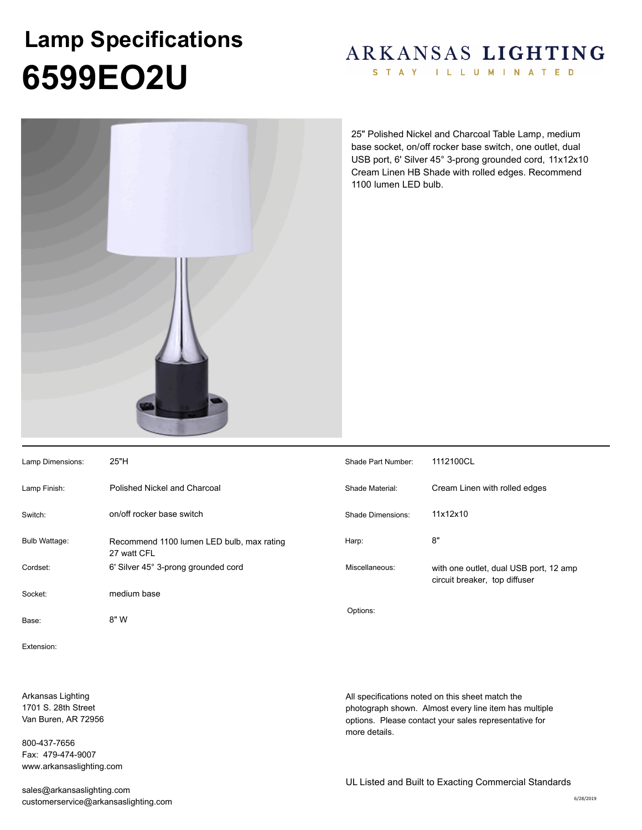## **6599EO2U Lamp Specifications**

## ARKANSAS LIGHTING

STAY ILLUMINATED



25" Polished Nickel and Charcoal Table Lamp, medium base socket, on/off rocker base switch, one outlet, dual USB port, 6' Silver 45° 3-prong grounded cord, 11x12x10 Cream Linen HB Shade with rolled edges. Recommend 1100 lumen LED bulb.

| Lamp Dimensions: | 25"H                                                     | Shade Part Number:       | 1112100CL                                                               |
|------------------|----------------------------------------------------------|--------------------------|-------------------------------------------------------------------------|
| Lamp Finish:     | Polished Nickel and Charcoal                             | Shade Material:          | Cream Linen with rolled edges                                           |
| Switch:          | on/off rocker base switch                                | <b>Shade Dimensions:</b> | 11x12x10                                                                |
| Bulb Wattage:    | Recommend 1100 lumen LED bulb, max rating<br>27 watt CFL | Harp:                    | 8"                                                                      |
| Cordset:         | 6' Silver 45° 3-prong grounded cord                      | Miscellaneous:           | with one outlet, dual USB port, 12 amp<br>circuit breaker, top diffuser |
| Socket:          | medium base                                              |                          |                                                                         |
| Base:            | 8" W                                                     | Options:                 |                                                                         |

Extension:

Arkansas Lighting 1701 S. 28th Street Van Buren, AR 72956

800-437-7656 Fax: 479-474-9007 www.arkansaslighting.com

sales@arkansaslighting.com customerservice@arkansaslighting.com All specifications noted on this sheet match the photograph shown. Almost every line item has multiple options. Please contact your sales representative for

more details.